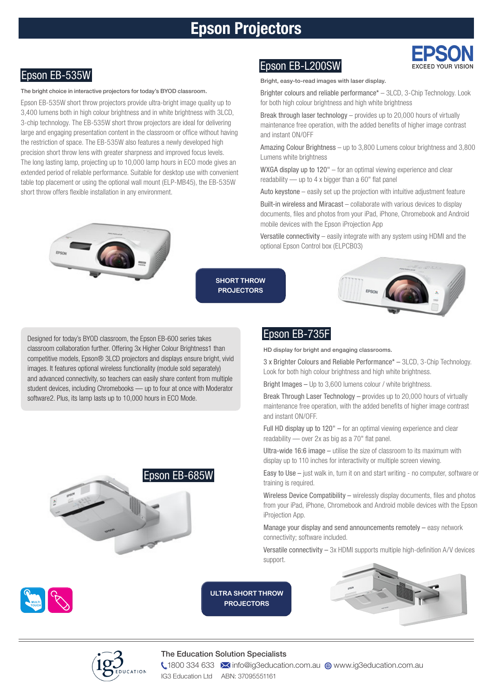# Epson Projectors



The bright choice in interactive projectors for today's BYOD classroom.

Epson EB-535W short throw projectors provide ultra-bright image quality up to 3,400 lumens both in high colour brightness and in white brightness with 3LCD, 3-chip technology. The EB-535W short throw projectors are ideal for delivering large and engaging presentation content in the classroom or office without having the restriction of space. The EB-535W also features a newly developed high precision short throw lens with greater sharpness and improved focus levels. The long lasting lamp, projecting up to 10,000 lamp hours in ECO mode gives an extended period of reliable performance. Suitable for desktop use with convenient table top placement or using the optional wall mount (ELP-MB45), the EB-535W short throw offers flexible installation in any environment.



# Epson EB-535W Epson EB-L200SW

Bright, easy-to-read images with laser display.

Brighter colours and reliable performance\* – 3LCD, 3-Chip Technology. Look for both high colour brightness and high white brightness

Break through laser technology – provides up to 20,000 hours of virtually maintenance free operation, with the added benefits of higher image contrast and instant ON/OFF

Amazing Colour Brightness – up to 3,800 Lumens colour brightness and 3,800 Lumens white brightness

WXGA display up to 120" – for an optimal viewing experience and clear readability — up to 4 x bigger than a 60" flat panel

Auto keystone – easily set up the projection with intuitive adjustment feature

Built-in wireless and Miracast – collaborate with various devices to display documents, files and photos from your iPad, iPhone, Chromebook and Android mobile devices with the Epson iProjection App

Versatile connectivity – easily integrate with any system using HDMI and the optional Epson Control box (ELPCB03)

**SHORT THROW PROJECTORS**



Designed for today's BYOD classroom, the Epson EB-600 series takes classroom collaboration further. Offering 3x Higher Colour Brightness1 than competitive models, Epson® 3LCD projectors and displays ensure bright, vivid images. It features optional wireless functionality (module sold separately) and advanced connectivity, so teachers can easily share content from multiple student devices, including Chromebooks — up to four at once with Moderator software2. Plus, its lamp lasts up to 10,000 hours in ECO Mode.



## Epson EB-735F

HD display for bright and engaging classrooms.

3 x Brighter Colours and Reliable Performance\* – 3LCD, 3-Chip Technology. Look for both high colour brightness and high white brightness.

Bright Images – Up to 3,600 lumens colour / white brightness.

Break Through Laser Technology – provides up to 20,000 hours of virtually maintenance free operation, with the added benefits of higher image contrast and instant ON/OFF.

Full HD display up to 120" – for an optimal viewing experience and clear readability — over 2x as big as a 70" flat panel.

Ultra-wide 16:6 image – utilise the size of classroom to its maximum with display up to 110 inches for interactivity or multiple screen viewing.

Easy to Use – just walk in, turn it on and start writing - no computer, software or training is required.

Wireless Device Compatibility – wirelessly display documents, files and photos from your iPad, iPhone, Chromebook and Android mobile devices with the Epson iProjection App.

Manage your display and send announcements remotely – easy network connectivity; software included.

Versatile connectivity – 3x HDMI supports multiple high-definition A/V devices support.



**ULTRA SHORT THROW PROJECTORS**







#### The Education Solution Specialists

**1800 334 633 M** info@ig3education.com.au @ www.ig3education.com.au IG3 Education Ltd ABN: 37095551161